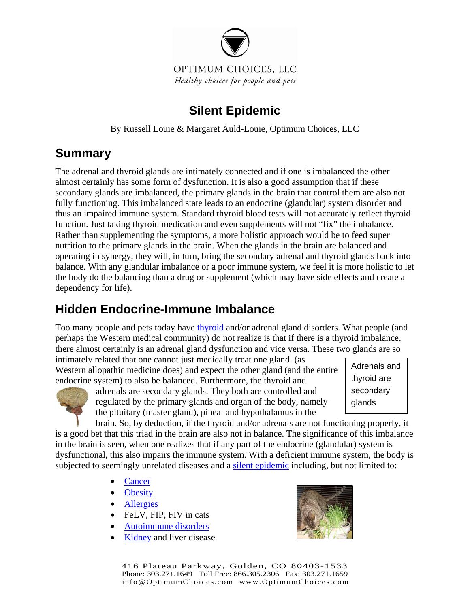

### **Silent Epidemic**

By Russell Louie & Margaret Auld-Louie, Optimum Choices, LLC

# **Summary**

The adrenal and thyroid glands are intimately connected and if one is imbalanced the other almost certainly has some form of dysfunction. It is also a good assumption that if these secondary glands are imbalanced, the primary glands in the brain that control them are also not fully functioning. This imbalanced state leads to an endocrine (glandular) system disorder and thus an impaired immune system. Standard thyroid blood tests will not accurately reflect thyroid function. Just taking thyroid medication and even supplements will not "fix" the imbalance. Rather than supplementing the symptoms, a more holistic approach would be to feed super nutrition to the primary glands in the brain. When the glands in the brain are balanced and operating in synergy, they will, in turn, bring the secondary adrenal and thyroid glands back into balance. With any glandular imbalance or a poor immune system, we feel it is more holistic to let the body do the balancing than a drug or supplement (which may have side effects and create a dependency for life).

# **Hidden Endocrine-Immune Imbalance**

Too many people and pets today have [thyroid](http://www.optimumchoices.com/Thyroid.htm) and/or adrenal gland disorders. What people (and perhaps the Western medical community) do not realize is that if there is a thyroid imbalance, there almost certainly is an adrenal gland dysfunction and vice versa. These two glands are so

intimately related that one cannot just medically treat one gland (as Western allopathic medicine does) and expect the other gland (and the entire endocrine system) to also be balanced. Furthermore, the thyroid and



adrenals are secondary glands. They both are controlled and regulated by the primary glands and organ of the body, namely the pituitary (master gland), pineal and hypothalamus in the

Adrenals and thyroid are secondary glands

brain. So, by deduction, if the thyroid and/or adrenals are not functioning properly, it is a good bet that this triad in the brain are also not in balance. The significance of this imbalance in the brain is seen, when one realizes that if any part of the endocrine (glandular) system is dysfunctional, this also impairs the immune system. With a deficient immune system, the body is subjected to seemingly unrelated diseases and a [silent epidemic](http://www.optimumchoices.com/holistic_health-B.htm) including, but not limited to:

- **[Cancer](http://www.optimumchoices.com/Cancer_Testimonials.htm)**
- [Obesity](http://www.optimumchoices.com/June_2007.htm#Are_you_killing_your_pet_with_food)
- [Allergies](http://www.optimumchoices.com/Allergies.htm)
- FeLV, FIP, FIV in cats
- [Autoimmune disorders](http://www.optimumchoices.com/ImmuneMediatedHemolyticAnemia-IMHA.htm)
- [Kidney](http://www.optimumchoices.com/Chronic_Renal_Failure.htm) and liver disease

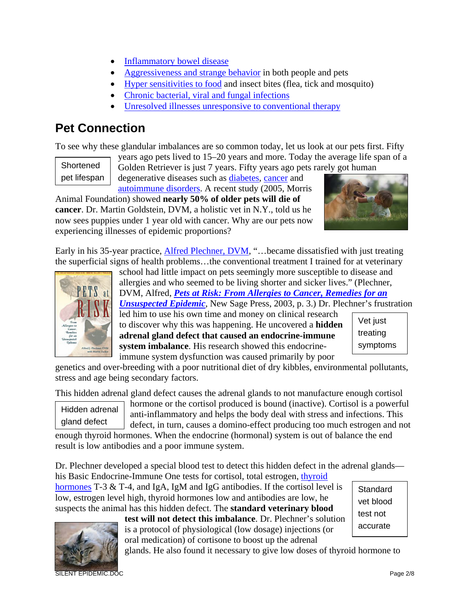- [Inflammatory bowel disease](http://www.optimumchoices.com/Irritable_bowel_disease.htm)
- [Aggressiveness and strange behavior](http://www.optimumchoices.com/Calmer_emotions.htm) in both people and pets
- [Hyper sensitivities to food](http://www.optimumchoices.com/Allergies.htm) and insect bites (flea, tick and mosquito)
- [Chronic bacterial, viral and fungal infections](http://www.optimumchoices.com/Lyme-Ehrlichiosis.htm)
- [Unresolved illnesses unresponsive to conventional therapy](http://www.optimumchoices.com/Saved_Lives.htm)

### **Pet Connection**

To see why these glandular imbalances are so common today, let us look at our pets first. Fifty

**Shortened** pet lifespan years ago pets lived to 15–20 years and more. Today the average life span of a Golden Retriever is just 7 years. Fifty years ago pets rarely got human

degenerative diseases such as [diabetes,](http://www.optimumchoices.com/Diabetes.htm) [cancer](http://www.optimumchoices.com/Cancer-Holistic_Perspective.htm) and [autoimmune disorders.](http://www.optimumchoices.com/Immune_Mediated_Hemolytic_Anemia-IMHA.htm) A recent study (2005, Morris

Animal Foundation) showed **nearly 50% of older pets will die of cancer**. Dr. Martin Goldstein, DVM, a holistic vet in N.Y., told us he now sees puppies under 1 year old with cancer. Why are our pets now experiencing illnesses of epidemic proportions?



Early in his 35-year practice, **Alfred Plechner, DVM**, "...became dissatisfied with just treating the superficial signs of health problems…the conventional treatment I trained for at veterinary



school had little impact on pets seemingly more susceptible to disease and allergies and who seemed to be living shorter and sicker lives." (Plechner, DVM, Alfred, *[Pets at Risk: From Allergies to Cancer, Remedies for an](http://www.optimumchoices.com/holistic_health-B.htm)* 

*[Unsuspected Epidemic](http://www.optimumchoices.com/holistic_health-B.htm)*, New Sage Press, 2003, p. 3.) Dr. Plechner's frustration

led him to use his own time and money on clinical research to discover why this was happening. He uncovered a **hidden adrenal gland defect that caused an endocrine-immune system imbalance**. His research showed this endocrineimmune system dysfunction was caused primarily by poor

| Vet just |
|----------|
| treating |
| symptoms |

genetics and over-breeding with a poor nutritional diet of dry kibbles, environmental pollutants, stress and age being secondary factors.

This hidden adrenal gland defect causes the adrenal glands to not manufacture enough cortisol

Hidden adrenal gland defect

hormone or the cortisol produced is bound (inactive). Cortisol is a powerful anti-inflammatory and helps the body deal with stress and infections. This defect, in turn, causes a domino-effect producing too much estrogen and not

enough thyroid hormones. When the endocrine (hormonal) system is out of balance the end result is low antibodies and a poor immune system.

Dr. Plechner developed a special blood test to detect this hidden defect in the adrenal glands his Basic Endocrine-Immune One tests for cortisol, total estrogen, thyroid

[hormones](http://www.optimumchoices.com/Thyroid.htm) T-3  $&$  T-4, and IgA, IgM and IgG antibodies. If the cortisol level is low, estrogen level high, thyroid hormones low and antibodies are low, he suspects the animal has this hidden defect. The **standard veterinary blood** 

**Standard** vet blood test not accurate



**test will not detect this imbalance**. Dr. Plechner's solution is a protocol of physiological (low dosage) injections (or oral medication) of cortisone to boost up the adrenal

glands. He also found it necessary to give low doses of thyroid hormone to

SILENT EPIDEMIC.DOC Page 2/8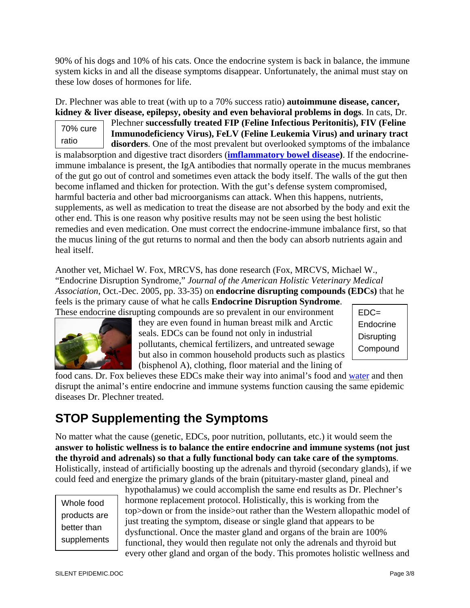90% of his dogs and 10% of his cats. Once the endocrine system is back in balance, the immune system kicks in and all the disease symptoms disappear. Unfortunately, the animal must stay on these low doses of hormones for life.

Dr. Plechner was able to treat (with up to a 70% success ratio) **autoimmune disease, cancer, kidney & liver disease, epilepsy, obesity and even behavioral problems in dogs**. In cats, Dr.

70% cure ratio Plechner **successfully treated FIP (Feline Infectious Peritonitis), FIV (Feline Immunodeficiency Virus), FeLV (Feline Leukemia Virus) and urinary tract disorders**. One of the most prevalent but overlooked symptoms of the imbalance is malabsorption and digestive tract disorders (**[imflammatory bowel disease\)](http://www.optimumchoices.com/Inflammatory_Bowel_Disease_Holistic_Perspective.htm)**. If the endocrineimmune imbalance is present, the IgA antibodies that normally operate in the mucus membranes of the gut go out of control and sometimes even attack the body itself. The walls of the gut then become inflamed and thicken for protection. With the gut's defense system compromised, harmful bacteria and other bad microorganisms can attack. When this happens, nutrients, supplements, as well as medication to treat the disease are not absorbed by the body and exit the other end. This is one reason why positive results may not be seen using the best holistic remedies and even medication. One must correct the endocrine-immune imbalance first, so that the mucus lining of the gut returns to normal and then the body can absorb nutrients again and heal itself.

Another vet, Michael W. Fox, MRCVS, has done research (Fox, MRCVS, Michael W., "Endocrine Disruption Syndrome," *Journal of the American Holistic Veterinary Medical Association*, Oct.-Dec. 2005, pp. 33-35) on **endocrine disrupting compounds (EDCs)** that he feels is the primary cause of what he calls **Endocrine Disruption Syndrome**. These endocrine disrupting compounds are so prevalent in our environment



they are even found in human breast milk and Arctic seals. EDCs can be found not only in industrial pollutants, chemical fertilizers, and untreated sewage but also in common household products such as plastics (bisphenol A), clothing, floor material and the lining of



food cans. Dr. Fox believes these EDCs make their way into animal's food and [water](http://www.optimumchoices.com/march_2006.htm#Article) and then disrupt the animal's entire endocrine and immune systems function causing the same epidemic diseases Dr. Plechner treated.

# **STOP Supplementing the Symptoms**

No matter what the cause (genetic, EDCs, poor nutrition, pollutants, etc.) it would seem the **answer to holistic wellness is to balance the entire endocrine and immune systems (not just the thyroid and adrenals) so that a fully functional body can take care of the symptoms**. Holistically, instead of artificially boosting up the adrenals and thyroid (secondary glands), if we could feed and energize the primary glands of the brain (pituitary-master gland, pineal and

Whole food products are better than supplements hypothalamus) we could accomplish the same end results as Dr. Plechner's hormone replacement protocol. Holistically, this is working from the top>down or from the inside>out rather than the Western allopathic model of just treating the symptom, disease or single gland that appears to be dysfunctional. Once the master gland and organs of the brain are 100% functional, they would then regulate not only the adrenals and thyroid but every other gland and organ of the body. This promotes holistic wellness and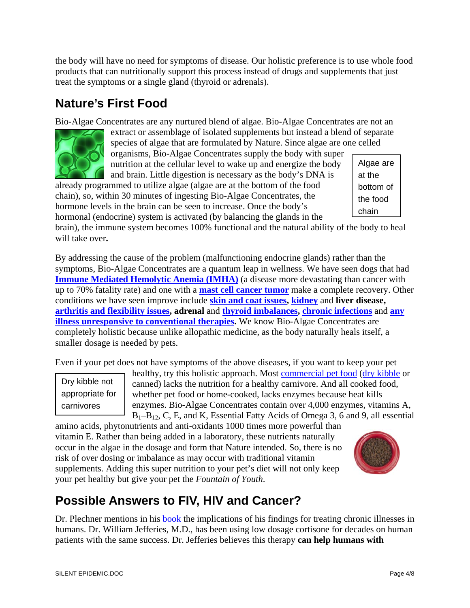the body will have no need for symptoms of disease. Our holistic preference is to use whole food products that can nutritionally support this process instead of drugs and supplements that just treat the symptoms or a single gland (thyroid or adrenals).

#### **Nature's First Food**

Bio-Algae Concentrates are any nurtured blend of algae. Bio-Algae Concentrates are not an

extract or assemblage of isolated supplements but instead a blend of separate species of algae that are formulated by Nature. Since algae are one celled organisms, Bio-Algae Concentrates supply the body with super

nutrition at the cellular level to wake up and energize the body and brain. Little digestion is necessary as the body's DNA is

already programmed to utilize algae (algae are at the bottom of the food chain), so, within 30 minutes of ingesting Bio-Algae Concentrates, the hormone levels in the brain can be seen to increase. Once the body's hormonal (endocrine) system is activated (by balancing the glands in the

brain), the immune system becomes 100% functional and the natural ability of the body to heal will take over**.**

By addressing the cause of the problem (malfunctioning endocrine glands) rather than the symptoms, Bio-Algae Concentrates are a quantum leap in wellness. We have seen dogs that had **[Immune Mediated Hemolytic Anemia \(IMHA\)](http://www.optimumchoices.com/ImmuneMediatedHemolyticAnemia-IMHA.htm)** (a disease more devastating than cancer with up to 70% fatality rate) and one with a **[mast cell cancer tumor](http://www.optimumchoices.com/Cancer_Testimonials.htm)** make a complete recovery. Other conditions we have seen improve include **[skin and coat issues,](http://www.optimumchoices.com/Allergies.htm) [kidney](http://www.optimumchoices.com/Chronic_Renal_Failure.htm)** and **liver disease, [arthritis and flexibility issues,](http://www.optimumchoices.com/testimonials.htm#arthritis) adrenal** and **[thyroid imbalances,](http://www.optimumchoices.com/Thyroid.htm) [chronic infections](http://www.optimumchoices.com/Lyme-Ehrlichiosis.htm)** and **[any](http://www.optimumchoices.com/Saved_Lives.htm)  [illness unresponsive to conventional therapies](http://www.optimumchoices.com/Saved_Lives.htm).** We know Bio-Algae Concentrates are completely holistic because unlike allopathic medicine, as the body naturally heals itself, a smaller dosage is needed by pets.

Even if your pet does not have symptoms of the above diseases, if you want to keep your pet

Dry kibble not appropriate for carnivores

healthy, try this holistic approach. Most [commercial pet food](http://www.optimumchoices.com/pet_food.htm) [\(dry kibble](http://www.optimumchoices.com/Pet_Food_Recall.htm) or canned) lacks the nutrition for a healthy carnivore. And all cooked food, whether pet food or home-cooked, lacks enzymes because heat kills enzymes. Bio-Algae Concentrates contain over 4,000 enzymes, vitamins A,  $B_1-B_1$ <sub>2</sub>, C, E, and K, Essential Fatty Acids of Omega 3, 6 and 9, all essential

amino acids, phytonutrients and anti-oxidants 1000 times more powerful than vitamin E. Rather than being added in a laboratory, these nutrients naturally occur in the algae in the dosage and form that Nature intended. So, there is no risk of over dosing or imbalance as may occur with traditional vitamin supplements. Adding this super nutrition to your pet's diet will not only keep your pet healthy but give your pet the *Fountain of Youth*.

### **Possible Answers to FIV, HIV and Cancer?**

Dr. Plechner mentions in his [book](http://www.optimumchoices.com/holistic_health-B.htm) the implications of his findings for treating chronic illnesses in humans. Dr. William Jefferies, M.D., has been using low dosage cortisone for decades on human patients with the same success. Dr. Jefferies believes this therapy **can help humans with** 

Algae are at the bottom of the food chain

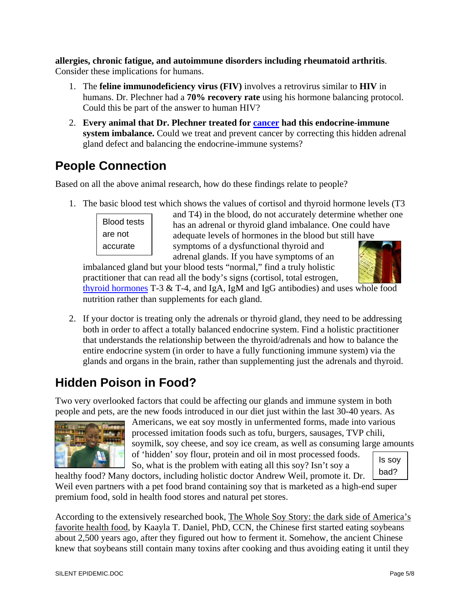**allergies, chronic fatigue, and autoimmune disorders including rheumatoid arthritis**. Consider these implications for humans.

- 1. The **feline immunodeficiency virus (FIV)** involves a retrovirus similar to **HIV** in humans. Dr. Plechner had a **70% recovery rate** using his hormone balancing protocol. Could this be part of the answer to human HIV?
- 2. **Every animal that Dr. Plechner treated for [cancer](http://www.optimumchoices.com/Cancer_Testimonials.htm) had this endocrine-immune system imbalance.** Could we treat and prevent cancer by correcting this hidden adrenal gland defect and balancing the endocrine-immune systems?

# **People Connection**

Based on all the above animal research, how do these findings relate to people?

1. The basic blood test which shows the values of cortisol and thyroid hormone levels (T3



and T4) in the blood, do not accurately determine whether one has an adrenal or thyroid gland imbalance. One could have adequate levels of hormones in the blood but still have symptoms of a dysfunctional thyroid and

adrenal glands. If you have symptoms of an imbalanced gland but your blood tests "normal," find a truly holistic practitioner that can read all the body's signs (cortisol, total estrogen,



[thyroid hormones](http://www.optimumchoices.com/Thyroid.htm) T-3 & T-4, and IgA, IgM and IgG antibodies) and uses whole food nutrition rather than supplements for each gland.

2. If your doctor is treating only the adrenals or thyroid gland, they need to be addressing both in order to affect a totally balanced endocrine system. Find a holistic practitioner that understands the relationship between the thyroid/adrenals and how to balance the entire endocrine system (in order to have a fully functioning immune system) via the glands and organs in the brain, rather than supplementing just the adrenals and thyroid.

# **Hidden Poison in Food?**

Two very overlooked factors that could be affecting our glands and immune system in both people and pets, are the new foods introduced in our diet just within the last 30-40 years. As



Is soy Americans, we eat soy mostly in unfermented forms, made into various processed imitation foods such as tofu, burgers, sausages, TVP chili, soymilk, soy cheese, and soy ice cream, as well as consuming large amounts of 'hidden' soy flour, protein and oil in most processed foods. So, what is the problem with eating all this soy? Isn't soy a

bad?

healthy food? Many doctors, including holistic doctor Andrew Weil, promote it. Dr. Weil even partners with a pet food brand containing soy that is marketed as a high-end super premium food, sold in health food stores and natural pet stores.

According to the extensively researched book, [The Whole Soy Story: the dark side of America's](http://www.optimumchoices.com/september_2005.htm#Book)  [favorite health food,](http://www.optimumchoices.com/september_2005.htm#Book) by Kaayla T. Daniel, PhD, CCN, the Chinese first started eating soybeans about 2,500 years ago, after they figured out how to ferment it. Somehow, the ancient Chinese knew that soybeans still contain many toxins after cooking and thus avoiding eating it until they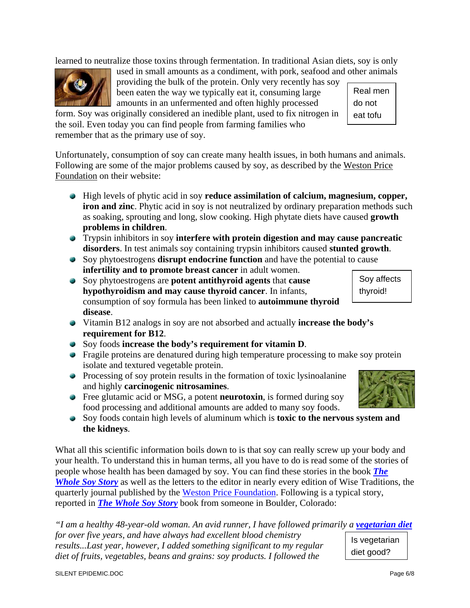learned to neutralize those toxins through fermentation. In traditional Asian diets, soy is only



used in small amounts as a condiment, with pork, seafood and other animals providing the bulk of the protein. Only very recently has soy been eaten the way we typically eat it, consuming large amounts in an unfermented and often highly processed

form. Soy was originally considered an inedible plant, used to fix nitrogen in the soil. Even today you can find people from farming families who remember that as the primary use of soy.

Unfortunately, consumption of soy can create many health issues, in both humans and animals. Following are some of the major problems caused by soy, as described by the [Weston Price](http://www.westonaprice.org/soy/index.html)  [Foundation](http://www.westonaprice.org/soy/index.html) on their website:

- High levels of phytic acid in soy **reduce assimilation of calcium, magnesium, copper, iron and zinc**. Phytic acid in soy is not neutralized by ordinary preparation methods such as soaking, sprouting and long, slow cooking. High phytate diets have caused **growth problems in children**.
- Trypsin inhibitors in soy **interfere with protein digestion and may cause pancreatic disorders**. In test animals soy containing trypsin inhibitors caused **stunted growth**.
- Soy phytoestrogens **disrupt endocrine function** and have the potential to cause **infertility and to promote breast cancer** in adult women.
- Soy phytoestrogens are **potent antithyroid agents** that **cause hypothyroidism and may cause thyroid cancer**. In infants, consumption of soy formula has been linked to **autoimmune thyroid disease**.
- Vitamin B12 analogs in soy are not absorbed and actually **increase the body's requirement for B12**.
- Soy foods **increase the body's requirement for vitamin D**.
- **•** Fragile proteins are denatured during high temperature processing to make soy protein isolate and textured vegetable protein.
- Processing of soy protein results in the formation of toxic lysinoalanine and highly **carcinogenic nitrosamines**.
- Free glutamic acid or MSG, a potent **neurotoxin**, is formed during soy food processing and additional amounts are added to many soy foods.
- Soy foods contain high levels of aluminum which is **toxic to the nervous system and the kidneys**.

What all this scientific information boils down to is that soy can really screw up your body and your health. To understand this in human terms, all you have to do is read some of the stories of people whose health has been damaged by soy. You can find these stories in the book *[The](http://www.optimumchoices.com/september_2005.htm#Book)  [Whole Soy Story](http://www.optimumchoices.com/september_2005.htm#Book)* as well as the letters to the editor in nearly every edition of Wise Traditions, the quarterly journal published by the [Weston Price Foundation.](http://www.westonaprice.org/index.html) Following is a typical story, reported in *[The Whole Soy Story](http://www.optimumchoices.com/september_2005.htm#Book)* book from someone in Boulder, Colorado:

Is vegetarian diet good? *"I am a healthy 48-year-old woman. An avid runner, I have followed primarily a <i>[vegetarian diet](http://www.optimumchoices.com/April_2006.htm#Article) for over five years, and have always had excellent blood chemistry results...Last year, however, I added something significant to my regular diet of fruits, vegetables, beans and grains: soy products. I followed the* 



Real men do not eat tofu

> Soy affects thyroid!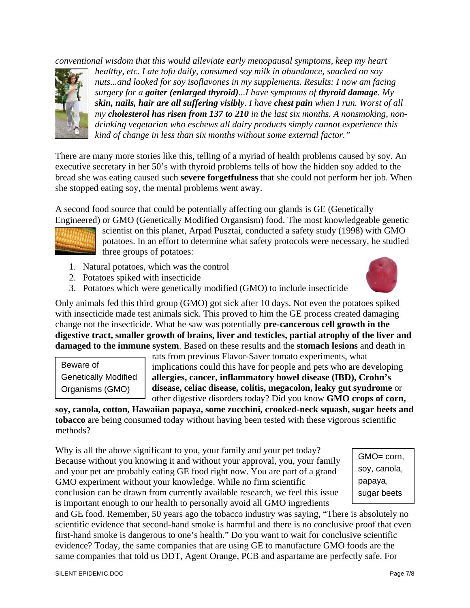*conventional wisdom that this would alleviate early menopausal symptoms, keep my heart* 



*healthy, etc. I ate tofu daily, consumed soy milk in abundance, snacked on soy nuts...and looked for soy isoflavones in my supplements. Results: I now am facing surgery for a goiter (enlarged thyroid)...I have symptoms of thyroid damage. My skin, nails, hair are all suffering visibly. I have chest pain when I run. Worst of all my cholesterol has risen from 137 to 210 in the last six months. A nonsmoking, nondrinking vegetarian who eschews all dairy products simply cannot experience this kind of change in less than six months without some external factor."*

There are many more stories like this, telling of a myriad of health problems caused by soy. An executive secretary in her 50's with thyroid problems tells of how the hidden soy added to the bread she was eating caused such **severe forgetfulness** that she could not perform her job. When she stopped eating soy, the mental problems went away.

A second food source that could be potentially affecting our glands is GE (Genetically



Engineered) or GMO (Genetically Modified Organsism) food. The most knowledgeable genetic scientist on this planet, Arpad Pusztai, conducted a safety study (1998) with GMO potatoes. In an effort to determine what safety protocols were necessary, he studied three groups of potatoes:

- 1. Natural potatoes, which was the control
- 2. Potatoes spiked with insecticide
- 3. Potatoes which were genetically modified (GMO) to include insecticide



Only animals fed this third group (GMO) got sick after 10 days. Not even the potatoes spiked with insecticide made test animals sick. This proved to him the GE process created damaging change not the insecticide. What he saw was potentially **pre-cancerous cell growth in the digestive tract, smaller growth of brains, liver and testicles, partial atrophy of the liver and damaged to the immune system**. Based on these results and the **stomach lesions** and death in

Beware of Genetically Modified Organisms (GMO)

rats from previous Flavor-Saver tomato experiments, what implications could this have for people and pets who are developing **allergies, cancer, inflammatory bowel disease (IBD), Crohn's disease, celiac disease, colitis, megacolon, leaky gut syndrome** or other digestive disorders today? Did you know **GMO crops of corn,** 

**soy, canola, cotton, Hawaiian papaya, some zucchini, crooked-neck squash, sugar beets and tobacco** are being consumed today without having been tested with these vigorous scientific methods?

Why is all the above significant to you, your family and your pet today? Because without you knowing it and without your approval, you, your family and your pet are probably eating GE food right now. You are part of a grand GMO experiment without your knowledge. While no firm scientific conclusion can be drawn from currently available research, we feel this issue is important enough to our health to personally avoid all GMO ingredients

GMO= corn, soy, canola, papaya, sugar beets

and GE food. Remember, 50 years ago the tobacco industry was saying, "There is absolutely no scientific evidence that second-hand smoke is harmful and there is no conclusive proof that even first-hand smoke is dangerous to one's health." Do you want to wait for conclusive scientific evidence? Today, the same companies that are using GE to manufacture GMO foods are the same companies that told us DDT, Agent Orange, PCB and aspartame are perfectly safe. For